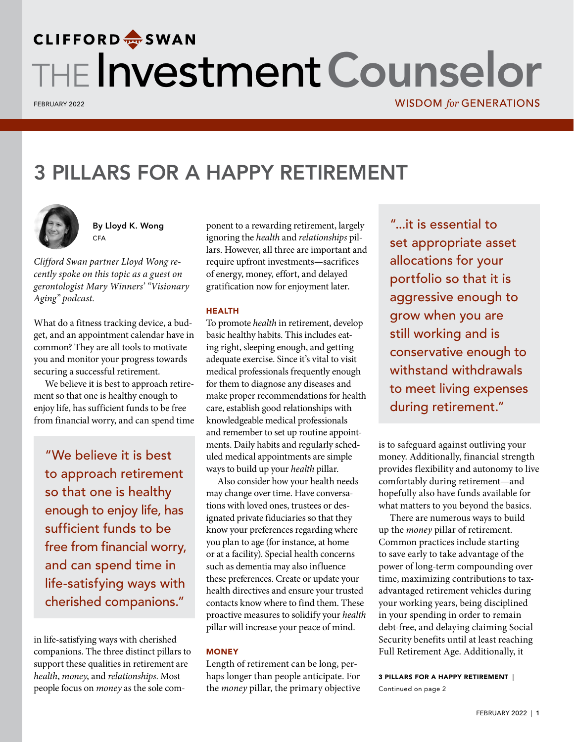# **CLIFFORD**<sup>2</sup> SWAN THE Investment Counselor

FEBRUARY 2022

## 3 PILLARS FOR A HAPPY RETIREMENT



By Lloyd K. Wong **CFA** 

*Clifford Swan partner Lloyd Wong recently spoke on this topic as a guest on gerontologist Mary Winners' "Visionary Aging" podcast.*

What do a fitness tracking device, a budget, and an appointment calendar have in common? They are all tools to motivate you and monitor your progress towards securing a successful retirement.

We believe it is best to approach retirement so that one is healthy enough to enjoy life, has sufficient funds to be free from financial worry, and can spend time

"We believe it is best to approach retirement so that one is healthy enough to enjoy life, has sufficient funds to be free from financial worry, and can spend time in life-satisfying ways with cherished companions."

in life-satisfying ways with cherished companions. The three distinct pillars to support these qualities in retirement are *health*, *money*, and *relationships*. Most people focus on *money* as the sole com-

ponent to a rewarding retirement, largely ignoring the *health* and *relationships* pillars. However, all three are important and require upfront investments**—**sacrifices of energy, money, effort, and delayed gratification now for enjoyment later.

#### HEALTH

To promote *health* in retirement, develop basic healthy habits. This includes eating right, sleeping enough, and getting adequate exercise. Since it's vital to visit medical professionals frequently enough for them to diagnose any diseases and make proper recommendations for health care, establish good relationships with knowledgeable medical professionals and remember to set up routine appointments. Daily habits and regularly scheduled medical appointments are simple ways to build up your *health* pillar.

Also consider how your health needs may change over time. Have conversations with loved ones, trustees or designated private fiduciaries so that they know your preferences regarding where you plan to age (for instance, at home or at a facility). Special health concerns such as dementia may also influence these preferences. Create or update your health directives and ensure your trusted contacts know where to find them. These proactive measures to solidify your *health*  pillar will increase your peace of mind.

#### **MONEY**

Length of retirement can be long, perhaps longer than people anticipate. For the *money* pillar, the primary objective

"...it is essential to set appropriate asset allocations for your portfolio so that it is aggressive enough to grow when you are still working and is conservative enough to withstand withdrawals to meet living expenses during retirement."

is to safeguard against outliving your money. Additionally, financial strength provides flexibility and autonomy to live comfortably during retirement—and hopefully also have funds available for what matters to you beyond the basics.

There are numerous ways to build up the *money* pillar of retirement. Common practices include starting to save early to take advantage of the power of long-term compounding over time, maximizing contributions to taxadvantaged retirement vehicles during your working years, being disciplined in your spending in order to remain debt-free, and delaying claiming Social Security benefits until at least reaching Full Retirement Age. Additionally, it

3 PILLARS FOR A HAPPY RETIREMENT | Continued on page 2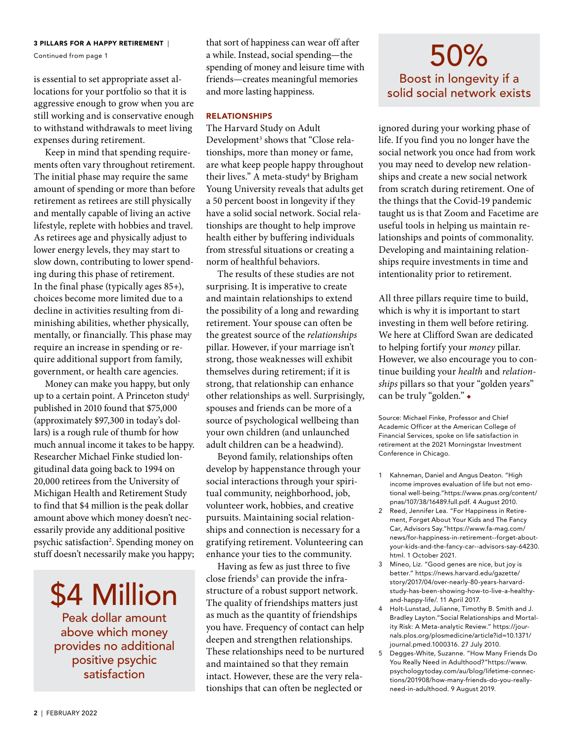#### 3 PILLARS FOR A HAPPY RETIREMENT |

Continued from page 1

is essential to set appropriate asset allocations for your portfolio so that it is aggressive enough to grow when you are still working and is conservative enough to withstand withdrawals to meet living expenses during retirement.

Keep in mind that spending requirements often vary throughout retirement. The initial phase may require the same amount of spending or more than before retirement as retirees are still physically and mentally capable of living an active lifestyle, replete with hobbies and travel. As retirees age and physically adjust to lower energy levels, they may start to slow down, contributing to lower spending during this phase of retirement. In the final phase (typically ages 85+), choices become more limited due to a decline in activities resulting from diminishing abilities, whether physically, mentally, or financially. This phase may require an increase in spending or require additional support from family, government, or health care agencies.

Money can make you happy, but only up to a certain point. A Princeton study<sup>1</sup> published in 2010 found that \$75,000 (approximately \$97,300 in today's dollars) is a rough rule of thumb for how much annual income it takes to be happy. Researcher Michael Finke studied longitudinal data going back to 1994 on 20,000 retirees from the University of Michigan Health and Retirement Study to find that \$4 million is the peak dollar amount above which money doesn't necessarily provide any additional positive psychic satisfaction<sup>2</sup>. Spending money on stuff doesn't necessarily make you happy;

# \$4 Million

Peak dollar amount above which money provides no additional positive psychic satisfaction

that sort of happiness can wear off after a while. Instead, social spending—the spending of money and leisure time with friends—creates meaningful memories and more lasting happiness.

#### RELATIONSHIPS

The Harvard Study on Adult Development<sup>3</sup> shows that "Close relationships, more than money or fame, are what keep people happy throughout their lives." A meta-study<sup>4</sup> by Brigham Young University reveals that adults get a 50 percent boost in longevity if they have a solid social network. Social relationships are thought to help improve health either by buffering individuals from stressful situations or creating a norm of healthful behaviors.

The results of these studies are not surprising. It is imperative to create and maintain relationships to extend the possibility of a long and rewarding retirement. Your spouse can often be the greatest source of the *relationships* pillar. However, if your marriage isn't strong, those weaknesses will exhibit themselves during retirement; if it is strong, that relationship can enhance other relationships as well. Surprisingly, spouses and friends can be more of a source of psychological wellbeing than your own children (and unlaunched adult children can be a headwind).

Beyond family, relationships often develop by happenstance through your social interactions through your spiritual community, neighborhood, job, volunteer work, hobbies, and creative pursuits. Maintaining social relationships and connection is necessary for a gratifying retirement. Volunteering can enhance your ties to the community.

Having as few as just three to five close friends<sup>5</sup> can provide the infrastructure of a robust support network. The quality of friendships matters just as much as the quantity of friendships you have. Frequency of contact can help deepen and strengthen relationships. These relationships need to be nurtured and maintained so that they remain intact. However, these are the very relationships that can often be neglected or

## 50% Boost in longevity if a solid social network exists

ignored during your working phase of life. If you find you no longer have the social network you once had from work you may need to develop new relationships and create a new social network from scratch during retirement. One of the things that the Covid-19 pandemic taught us is that Zoom and Facetime are useful tools in helping us maintain relationships and points of commonality. Developing and maintaining relationships require investments in time and intentionality prior to retirement.

All three pillars require time to build, which is why it is important to start investing in them well before retiring. We here at Clifford Swan are dedicated to helping fortify your *money* pillar. However, we also encourage you to continue building your *health* and *relationships* pillars so that your "golden years" can be truly "golden." ◆

Source: Michael Finke, Professor and Chief Academic Officer at the American College of Financial Services, spoke on life satisfaction in retirement at the 2021 Morningstar Investment Conference in Chicago.

- 1 Kahneman, Daniel and Angus Deaton. "High income improves evaluation of life but not emotional well-being."https://www.pnas.org/content/ pnas/107/38/16489.full.pdf. 4 August 2010.
- 2 Reed, Jennifer Lea. "For Happiness in Retirement, Forget About Your Kids and The Fancy Car, Advisors Say."https://www.fa-mag.com/ news/for-happiness-in-retirement--forget-aboutyour-kids-and-the-fancy-car--advisors-say-64230. html. 1 October 2021.
- 3 Mineo, Liz. "Good genes are nice, but joy is better." https://news.harvard.edu/gazette/ story/2017/04/over-nearly-80-years-harvardstudy-has-been-showing-how-to-live-a-healthyand-happy-life/. 11 April 2017.
- 4 Holt-Lunstad, Julianne, Timothy B. Smith and J. Bradley Layton."Social Relationships and Mortality Risk: A Meta-analytic Review." https://journals.plos.org/plosmedicine/article?id=10.1371/ journal.pmed.1000316. 27 July 2010.
- 5 Degges-White, Suzanne. "How Many Friends Do You Really Need in Adulthood?"https://www. psychologytoday.com/au/blog/lifetime-connections/201908/how-many-friends-do-you-reallyneed-in-adulthood. 9 August 2019.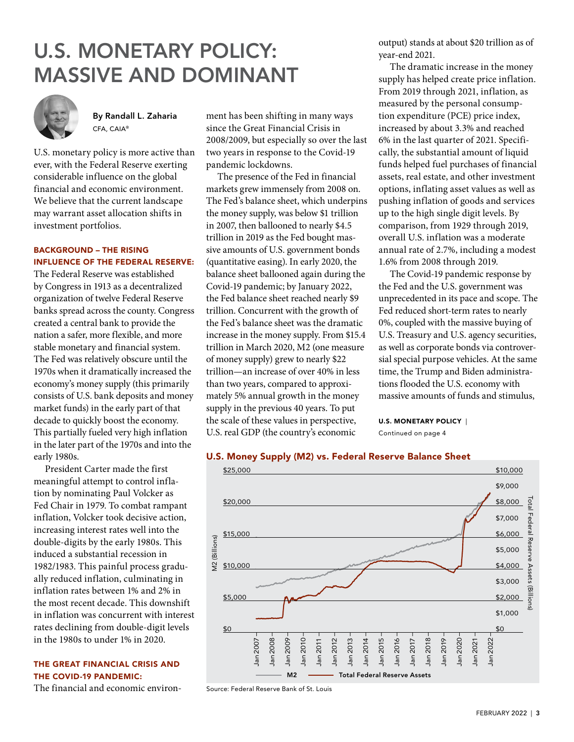## U.S. MONETARY POLICY: MASSIVE AND DOMINANT



By Randall L. Zaharia CFA, CAIA®

U.S. monetary policy is more active than ever, with the Federal Reserve exerting considerable influence on the global financial and economic environment. We believe that the current landscape may warrant asset allocation shifts in investment portfolios.

### BACKGROUND – THE RISING INFLUENCE OF THE FEDERAL RESERVE:

The Federal Reserve was established by Congress in 1913 as a decentralized organization of twelve Federal Reserve banks spread across the county. Congress created a central bank to provide the nation a safer, more flexible, and more stable monetary and financial system. The Fed was relatively obscure until the 1970s when it dramatically increased the economy's money supply (this primarily consists of U.S. bank deposits and money market funds) in the early part of that decade to quickly boost the economy. This partially fueled very high inflation in the later part of the 1970s and into the early 1980s.

President Carter made the first meaningful attempt to control inflation by nominating Paul Volcker as Fed Chair in 1979. To combat rampant inflation, Volcker took decisive action, increasing interest rates well into the double-digits by the early 1980s. This induced a substantial recession in 1982/1983. This painful process gradually reduced inflation, culminating in inflation rates between 1% and 2% in the most recent decade. This downshift in inflation was concurrent with interest rates declining from double-digit levels in the 1980s to under 1% in 2020.

### THE GREAT FINANCIAL CRISIS AND THE COVID-19 PANDEMIC:

The financial and economic environ-

ment has been shifting in many ways since the Great Financial Crisis in 2008/2009, but especially so over the last two years in response to the Covid-19 pandemic lockdowns.

The presence of the Fed in financial markets grew immensely from 2008 on. The Fed's balance sheet, which underpins the money supply, was below \$1 trillion in 2007, then ballooned to nearly \$4.5 trillion in 2019 as the Fed bought massive amounts of U.S. government bonds (quantitative easing). In early 2020, the balance sheet ballooned again during the Covid-19 pandemic; by January 2022, the Fed balance sheet reached nearly \$9 trillion. Concurrent with the growth of the Fed's balance sheet was the dramatic increase in the money supply. From \$15.4 trillion in March 2020, M2 (one measure of money supply) grew to nearly \$22 trillion—an increase of over 40% in less than two years, compared to approximately 5% annual growth in the money supply in the previous 40 years. To put the scale of these values in perspective, U.S. real GDP (the country's economic

output) stands at about \$20 trillion as of year-end 2021.

The dramatic increase in the money supply has helped create price inflation. From 2019 through 2021, inflation, as measured by the personal consumption expenditure (PCE) price index, increased by about 3.3% and reached 6% in the last quarter of 2021. Specifically, the substantial amount of liquid funds helped fuel purchases of financial assets, real estate, and other investment options, inflating asset values as well as pushing inflation of goods and services up to the high single digit levels. By comparison, from 1929 through 2019, overall U.S. inflation was a moderate annual rate of 2.7%, including a modest 1.6% from 2008 through 2019.

The Covid-19 pandemic response by the Fed and the U.S. government was unprecedented in its pace and scope. The Fed reduced short-term rates to nearly 0%, coupled with the massive buying of U.S. Treasury and U.S. agency securities, as well as corporate bonds via controversial special purpose vehicles. At the same time, the Trump and Biden administrations flooded the U.S. economy with massive amounts of funds and stimulus,

U.S. MONETARY POLICY | Continued on page 4



Source: Federal Reserve Bank of St. Louis